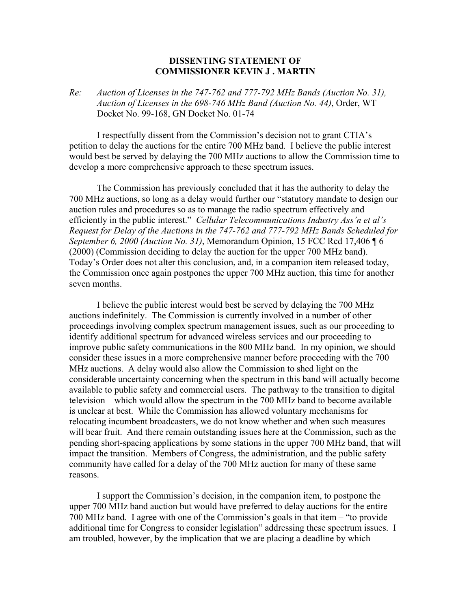## **DISSENTING STATEMENT OF COMMISSIONER KEVIN J . MARTIN**

## *Re: Auction of Licenses in the 747-762 and 777-792 MHz Bands (Auction No. 31), Auction of Licenses in the 698-746 MHz Band (Auction No. 44)*, Order, WT Docket No. 99-168, GN Docket No. 01-74

 I respectfully dissent from the Commission's decision not to grant CTIA's petition to delay the auctions for the entire 700 MHz band. I believe the public interest would best be served by delaying the 700 MHz auctions to allow the Commission time to develop a more comprehensive approach to these spectrum issues.

 The Commission has previously concluded that it has the authority to delay the 700 MHz auctions, so long as a delay would further our "statutory mandate to design our auction rules and procedures so as to manage the radio spectrum effectively and efficiently in the public interest." *Cellular Telecommunications Industry Ass'n et al's Request for Delay of the Auctions in the 747-762 and 777-792 MHz Bands Scheduled for September 6, 2000 (Auction No. 31)*, Memorandum Opinion, 15 FCC Rcd 17,406 ¶ 6 (2000) (Commission deciding to delay the auction for the upper 700 MHz band). Today's Order does not alter this conclusion, and, in a companion item released today, the Commission once again postpones the upper 700 MHz auction, this time for another seven months.

 I believe the public interest would best be served by delaying the 700 MHz auctions indefinitely. The Commission is currently involved in a number of other proceedings involving complex spectrum management issues, such as our proceeding to identify additional spectrum for advanced wireless services and our proceeding to improve public safety communications in the 800 MHz band. In my opinion, we should consider these issues in a more comprehensive manner before proceeding with the 700 MHz auctions. A delay would also allow the Commission to shed light on the considerable uncertainty concerning when the spectrum in this band will actually become available to public safety and commercial users. The pathway to the transition to digital television – which would allow the spectrum in the 700 MHz band to become available – is unclear at best. While the Commission has allowed voluntary mechanisms for relocating incumbent broadcasters, we do not know whether and when such measures will bear fruit. And there remain outstanding issues here at the Commission, such as the pending short-spacing applications by some stations in the upper 700 MHz band, that will impact the transition. Members of Congress, the administration, and the public safety community have called for a delay of the 700 MHz auction for many of these same reasons.

 I support the Commission's decision, in the companion item, to postpone the upper 700 MHz band auction but would have preferred to delay auctions for the entire 700 MHz band. I agree with one of the Commission's goals in that item – "to provide additional time for Congress to consider legislation" addressing these spectrum issues. I am troubled, however, by the implication that we are placing a deadline by which